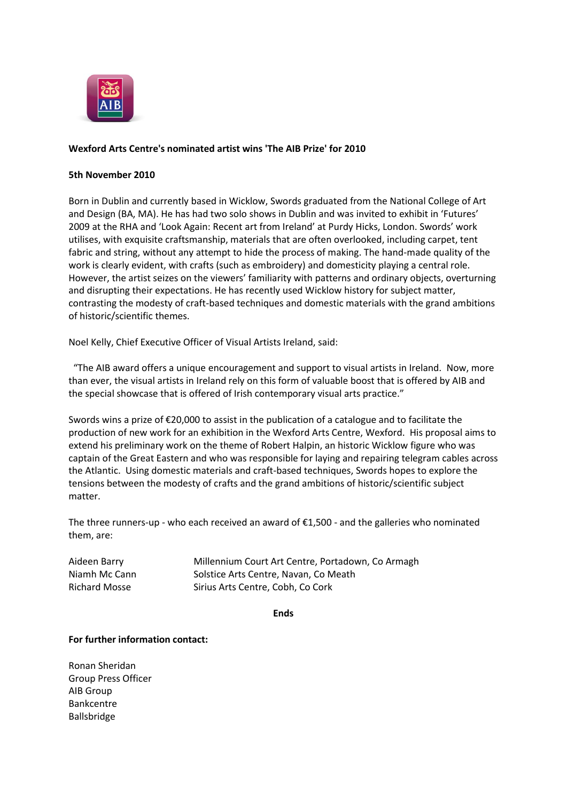

## **Wexford Arts Centre's nominated artist wins 'The AIB Prize' for 2010**

## **5th November 2010**

Born in Dublin and currently based in Wicklow, Swords graduated from the National College of Art and Design (BA, MA). He has had two solo shows in Dublin and was invited to exhibit in 'Futures' 2009 at the RHA and 'Look Again: Recent art from Ireland' at Purdy Hicks, London. Swords' work utilises, with exquisite craftsmanship, materials that are often overlooked, including carpet, tent fabric and string, without any attempt to hide the process of making. The hand-made quality of the work is clearly evident, with crafts (such as embroidery) and domesticity playing a central role. However, the artist seizes on the viewers' familiarity with patterns and ordinary objects, overturning and disrupting their expectations. He has recently used Wicklow history for subject matter, contrasting the modesty of craft-based techniques and domestic materials with the grand ambitions of historic/scientific themes.

Noel Kelly, Chief Executive Officer of Visual Artists Ireland, said:

"The AIB award offers a unique encouragement and support to visual artists in Ireland. Now, more than ever, the visual artists in Ireland rely on this form of valuable boost that is offered by AIB and the special showcase that is offered of Irish contemporary visual arts practice."

Swords wins a prize of €20,000 to assist in the publication of a catalogue and to facilitate the production of new work for an exhibition in the Wexford Arts Centre, Wexford. His proposal aims to extend his preliminary work on the theme of Robert Halpin, an historic Wicklow figure who was captain of the Great Eastern and who was responsible for laying and repairing telegram cables across the Atlantic. Using domestic materials and craft-based techniques, Swords hopes to explore the tensions between the modesty of crafts and the grand ambitions of historic/scientific subject matter.

The three runners-up - who each received an award of  $\epsilon$ 1,500 - and the galleries who nominated them, are:

| Aideen Barry         | Millennium Court Art Centre, Portadown, Co Armagh |
|----------------------|---------------------------------------------------|
| Niamh Mc Cann        | Solstice Arts Centre, Navan, Co Meath             |
| <b>Richard Mosse</b> | Sirius Arts Centre, Cobh, Co Cork                 |

**Ends**

## **For further information contact:**

Ronan Sheridan Group Press Officer AIB Group Bankcentre Ballsbridge